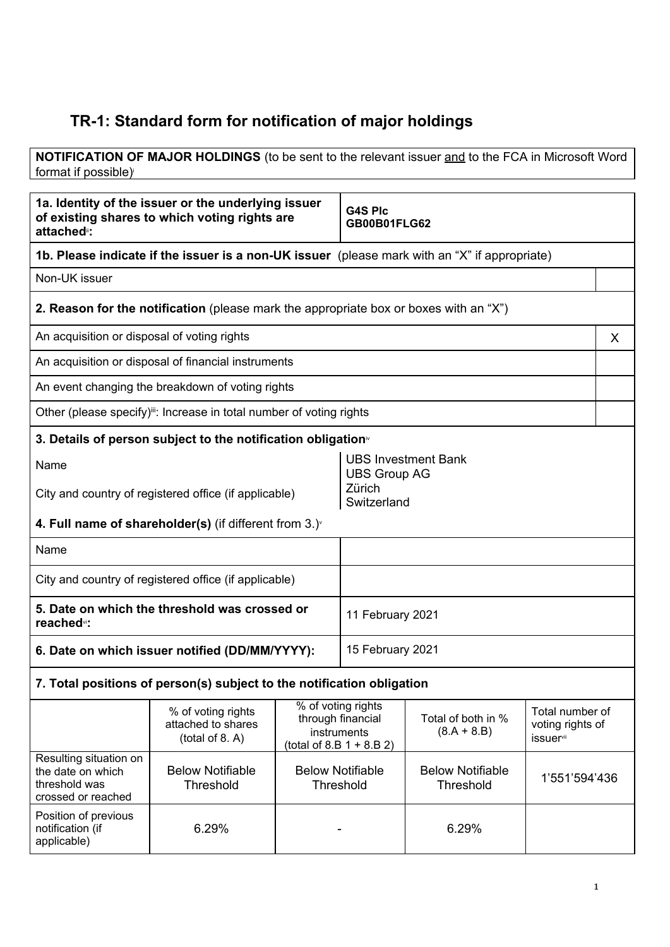## **TR-1: Standard form for notification of major holdings**

**NOTIFICATION OF MAJOR HOLDINGS** (to be sent to the relevant issuer and to the FCA in Microsoft Word format if possible) i

| 1a. Identity of the issuer or the underlying issuer<br>of existing shares to which voting rights are<br>attached <sup>®</sup> : |                                                                                               |                                                                                       | <b>G4S Plc</b><br><b>GB00B01FLG62</b>             |                                      |                                                  |   |
|---------------------------------------------------------------------------------------------------------------------------------|-----------------------------------------------------------------------------------------------|---------------------------------------------------------------------------------------|---------------------------------------------------|--------------------------------------|--------------------------------------------------|---|
|                                                                                                                                 | 1b. Please indicate if the issuer is a non-UK issuer (please mark with an "X" if appropriate) |                                                                                       |                                                   |                                      |                                                  |   |
| Non-UK issuer                                                                                                                   |                                                                                               |                                                                                       |                                                   |                                      |                                                  |   |
|                                                                                                                                 | <b>2. Reason for the notification</b> (please mark the appropriate box or boxes with an "X")  |                                                                                       |                                                   |                                      |                                                  |   |
| An acquisition or disposal of voting rights                                                                                     |                                                                                               |                                                                                       |                                                   |                                      |                                                  | X |
|                                                                                                                                 | An acquisition or disposal of financial instruments                                           |                                                                                       |                                                   |                                      |                                                  |   |
|                                                                                                                                 | An event changing the breakdown of voting rights                                              |                                                                                       |                                                   |                                      |                                                  |   |
|                                                                                                                                 | Other (please specify) <sup>iii</sup> : Increase in total number of voting rights             |                                                                                       |                                                   |                                      |                                                  |   |
|                                                                                                                                 | 3. Details of person subject to the notification obligation <sup>®</sup>                      |                                                                                       |                                                   |                                      |                                                  |   |
| Name                                                                                                                            |                                                                                               |                                                                                       | <b>UBS Investment Bank</b><br><b>UBS Group AG</b> |                                      |                                                  |   |
| City and country of registered office (if applicable)                                                                           |                                                                                               |                                                                                       | Zürich<br>Switzerland                             |                                      |                                                  |   |
|                                                                                                                                 | 4. Full name of shareholder(s) (if different from $3.$ ) $\check{ }$                          |                                                                                       |                                                   |                                      |                                                  |   |
| Name                                                                                                                            |                                                                                               |                                                                                       |                                                   |                                      |                                                  |   |
|                                                                                                                                 | City and country of registered office (if applicable)                                         |                                                                                       |                                                   |                                      |                                                  |   |
| reached <sup>v</sup> :                                                                                                          | 5. Date on which the threshold was crossed or                                                 |                                                                                       | 11 February 2021                                  |                                      |                                                  |   |
| 6. Date on which issuer notified (DD/MM/YYYY):                                                                                  |                                                                                               |                                                                                       | 15 February 2021                                  |                                      |                                                  |   |
|                                                                                                                                 | 7. Total positions of person(s) subject to the notification obligation                        |                                                                                       |                                                   |                                      |                                                  |   |
|                                                                                                                                 | % of voting rights<br>attached to shares<br>(total of 8. A)                                   | % of voting rights<br>through financial<br>instruments<br>(total of 8.B $1 + 8.B 2$ ) |                                                   | Total of both in %<br>$(8.A + 8.B)$  | Total number of<br>voting rights of<br>issuervii |   |
| Resulting situation on<br>the date on which<br>threshold was<br>crossed or reached                                              | <b>Below Notifiable</b><br>Threshold                                                          | <b>Below Notifiable</b><br>Threshold                                                  |                                                   | <b>Below Notifiable</b><br>Threshold | 1'551'594'436                                    |   |
| Position of previous<br>notification (if<br>applicable)                                                                         | 6.29%                                                                                         |                                                                                       |                                                   | 6.29%                                |                                                  |   |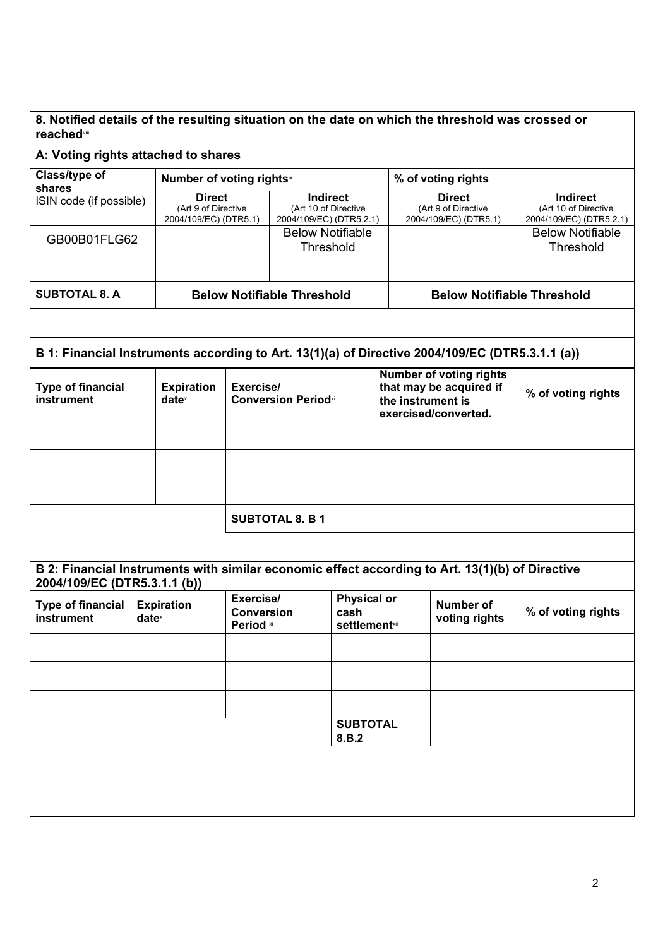## **8. Notified details of the resulting situation on the date on which the threshold was crossed or reached**viii

| Class/type of                                                                                                                   |                                        | Number of voting rights <sup>ix</sup>                         |                                         |                                                                    |                                                                                                        | % of voting rights                                            |                                                                    |  |
|---------------------------------------------------------------------------------------------------------------------------------|----------------------------------------|---------------------------------------------------------------|-----------------------------------------|--------------------------------------------------------------------|--------------------------------------------------------------------------------------------------------|---------------------------------------------------------------|--------------------------------------------------------------------|--|
| shares<br>ISIN code (if possible)                                                                                               |                                        | <b>Direct</b><br>(Art 9 of Directive<br>2004/109/EC) (DTR5.1) |                                         | <b>Indirect</b><br>(Art 10 of Directive<br>2004/109/EC) (DTR5.2.1) |                                                                                                        | <b>Direct</b><br>(Art 9 of Directive<br>2004/109/EC) (DTR5.1) | <b>Indirect</b><br>(Art 10 of Directive<br>2004/109/EC) (DTR5.2.1) |  |
| GB00B01FLG62                                                                                                                    |                                        |                                                               |                                         | <b>Below Notifiable</b><br>Threshold                               |                                                                                                        |                                                               | <b>Below Notifiable</b><br>Threshold                               |  |
|                                                                                                                                 |                                        |                                                               |                                         |                                                                    |                                                                                                        |                                                               |                                                                    |  |
| <b>SUBTOTAL 8. A</b>                                                                                                            |                                        | <b>Below Notifiable Threshold</b>                             |                                         |                                                                    |                                                                                                        | <b>Below Notifiable Threshold</b>                             |                                                                    |  |
|                                                                                                                                 |                                        |                                                               |                                         |                                                                    |                                                                                                        |                                                               |                                                                    |  |
| B 1: Financial Instruments according to Art. 13(1)(a) of Directive 2004/109/EC (DTR5.3.1.1 (a))                                 |                                        |                                                               |                                         |                                                                    |                                                                                                        |                                                               |                                                                    |  |
| <b>Type of financial</b><br><b>Expiration</b><br>instrument<br>date <sup>x</sup>                                                |                                        |                                                               | Exercise/<br><b>Conversion Periodxi</b> |                                                                    | <b>Number of voting rights</b><br>that may be acquired if<br>the instrument is<br>exercised/converted. |                                                               | % of voting rights                                                 |  |
|                                                                                                                                 |                                        |                                                               |                                         |                                                                    |                                                                                                        |                                                               |                                                                    |  |
|                                                                                                                                 |                                        |                                                               |                                         |                                                                    |                                                                                                        |                                                               |                                                                    |  |
|                                                                                                                                 |                                        |                                                               |                                         |                                                                    |                                                                                                        |                                                               |                                                                    |  |
|                                                                                                                                 |                                        |                                                               | <b>SUBTOTAL 8. B 1</b>                  |                                                                    |                                                                                                        |                                                               |                                                                    |  |
|                                                                                                                                 |                                        |                                                               |                                         |                                                                    |                                                                                                        |                                                               |                                                                    |  |
| B 2: Financial Instruments with similar economic effect according to Art. 13(1)(b) of Directive<br>2004/109/EC (DTR5.3.1.1 (b)) |                                        |                                                               |                                         |                                                                    |                                                                                                        |                                                               |                                                                    |  |
| <b>Type of financial</b><br>instrument                                                                                          | <b>Expiration</b><br>date <sup>x</sup> | Exercise/<br><b>Conversion</b><br>Period xi                   |                                         | <b>Physical or</b><br>cash<br><b>settlement</b> xii                |                                                                                                        | <b>Number of</b><br>voting rights                             | % of voting rights                                                 |  |
|                                                                                                                                 |                                        |                                                               |                                         |                                                                    |                                                                                                        |                                                               |                                                                    |  |
|                                                                                                                                 |                                        |                                                               |                                         |                                                                    |                                                                                                        |                                                               |                                                                    |  |
|                                                                                                                                 |                                        |                                                               |                                         |                                                                    |                                                                                                        |                                                               |                                                                    |  |
|                                                                                                                                 |                                        |                                                               |                                         | <b>SUBTOTAL</b>                                                    |                                                                                                        |                                                               |                                                                    |  |